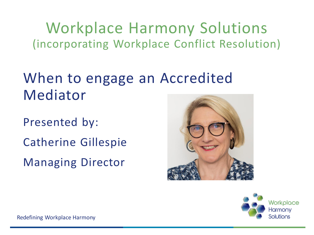Workplace Harmony Solutions (incorporating Workplace Conflict Resolution)

#### When to engage an Accredited Mediator

Presented by: Catherine Gillespie Managing Director



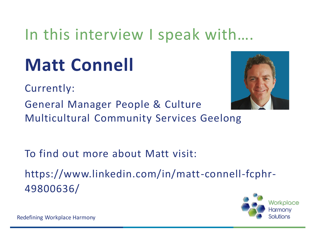### In this interview I speak with….

# **Matt Connell**

Currently:

General Manager People & Culture

Multicultural Community Services Geelong

To find out more about Matt visit:

https://www.linkedin.com/in/matt-connell-fcphr-49800636/

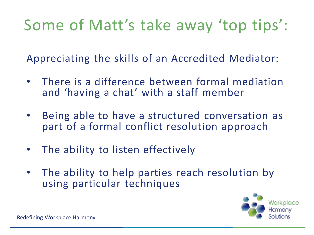# Some of Matt's take away 'top tips':

Appreciating the skills of an Accredited Mediator:

- There is a difference between formal mediation and 'having a chat' with a staff member
- Being able to have a structured conversation as part of a formal conflict resolution approach
- The ability to listen effectively
- The ability to help parties reach resolution by using particular techniques

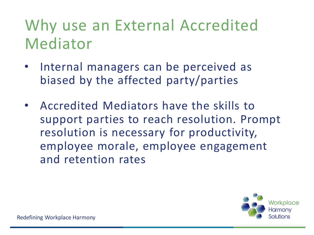## Why use an External Accredited Mediator

- Internal managers can be perceived as biased by the affected party/parties
- Accredited Mediators have the skills to support parties to reach resolution. Prompt resolution is necessary for productivity, employee morale, employee engagement and retention rates

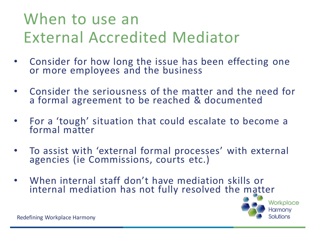## When to use an External Accredited Mediator

- Consider for how long the issue has been effecting one or more employees and the business
- Consider the seriousness of the matter and the need for a formal agreement to be reached & documented
- For a 'tough' situation that could escalate to become a formal matter
- To assist with 'external formal processes' with external agencies (ie Commissions, courts etc.)
- When internal staff don't have mediation skills or internal mediation has not fully resolved the matter

Workplace Harmony lı itions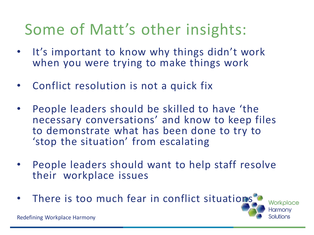## Some of Matt's other insights:

- It's important to know why things didn't work when you were trying to make things work
- Conflict resolution is not a quick fix
- People leaders should be skilled to have 'the necessary conversations' and know to keep files to demonstrate what has been done to try to 'stop the situation' from escalating
- People leaders should want to help staff resolve their workplace issues
- There is too much fear in conflict situations

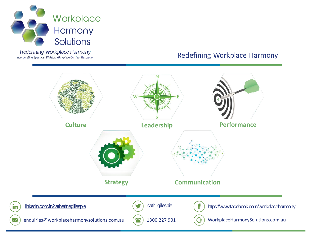

Redefining Workplace Harmony Incorporating Specialist Division Workplace Conflict Resolution

 $\times$